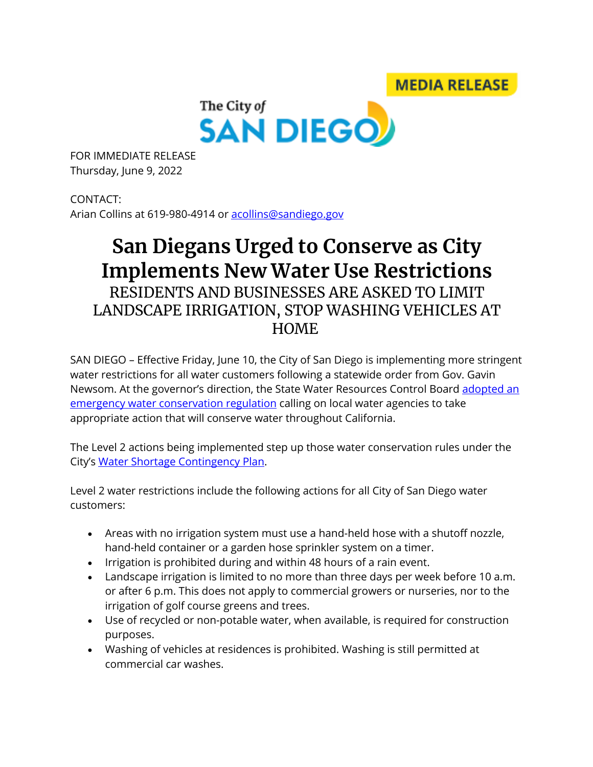**MEDIA RELEASE** 



FOR IMMEDIATE RELEASE Thursday, June 9, 2022

CONTACT: Arian Collins at 619-980-4914 or acollins@sandiego.gov

## **San Diegans Urged to Conserve as City Implements New Water Use Restrictions** RESIDENTS AND BUSINESSES ARE ASKED TO LIMIT LANDSCAPE IRRIGATION, STOP WASHING VEHICLES AT HOME

SAN DIEGO – Effective Friday, June 10, the City of San Diego is implementing more stringent water restrictions for all water customers following a statewide order from Gov. Gavin Newsom. At the governor's direction, the State Water Resources Control Board adopted an emergency water conservation regulation calling on local water agencies to take appropriate action that will conserve water throughout California.

The Level 2 actions being implemented step up those water conservation rules under the City's Water Shortage Contingency Plan.

Level 2 water restrictions include the following actions for all City of San Diego water customers:

- Areas with no irrigation system must use a hand-held hose with a shutoff nozzle, hand-held container or a garden hose sprinkler system on a timer.
- Irrigation is prohibited during and within 48 hours of a rain event.
- Landscape irrigation is limited to no more than three days per week before 10 a.m. or after 6 p.m. This does not apply to commercial growers or nurseries, nor to the irrigation of golf course greens and trees.
- Use of recycled or non-potable water, when available, is required for construction purposes.
- Washing of vehicles at residences is prohibited. Washing is still permitted at commercial car washes.